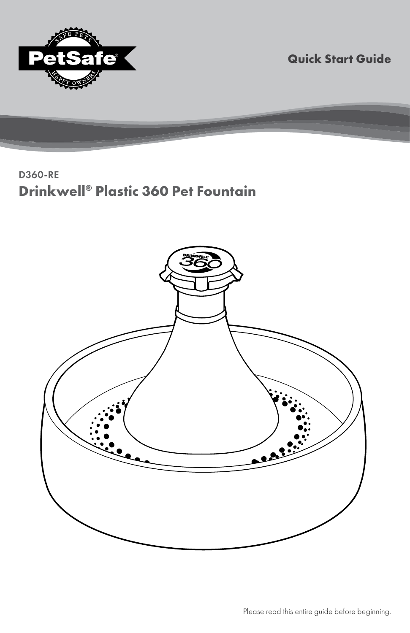

**Quick Start Guide**

### D360-RE **Drinkwell® Plastic 360 Pet Fountain**

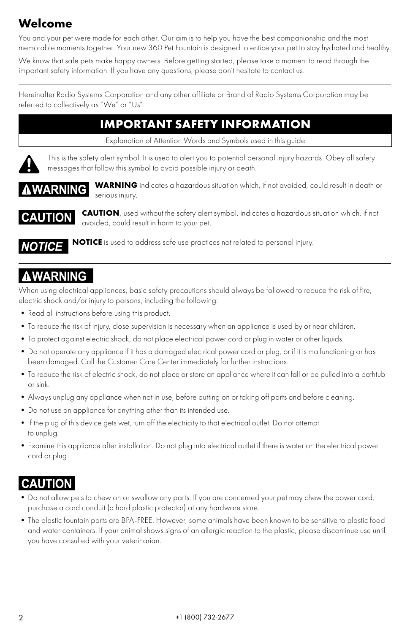# **Welcome**

You and your pet were made for each other. Our aim is to help you have the best companionship and the most memorable moments together. Your new 360 Pet Fountain is designed to entice your pet to stay hydrated and healthy.

We know that safe pets make happy owners. Before getting started, please take a moment to read through the important safety information. If you have any questions, please don't hesitate to contact us.

Hereinafter Radio Systems Corporation and any other affiliate or Brand of Radio Systems Corporation may be referred to collectively as "We" or "Us".

### **IMPORTANT SAFETY INFORMATION**

Explanation of Attention Words and Symbols used in this guide



This is the safety alert symbol. It is used to alert you to potential personal injury hazards. Obey all safety messages that follow this symbol to avoid possible injury or death.



**WARNING** indicates a hazardous situation which, if not avoided, could result in death or serious injury.



**CAUTION**, used without the safety alert symbol, indicates a hazardous situation which, if not avoided, could result in harm to your pet.

**NOTICE** is used to address safe use practices not related to personal injury. IOTICE

# **WARNING**

When using electrical appliances, basic safety precautions should always be followed to reduce the risk of fire, electric shock and/or injury to persons, including the following:

- Read all instructions before using this product.
- •To reduce the risk of injury, close supervision is necessary when an appliance is used by or near children.
- •To protect against electric shock, do not place electrical power cord or plug in water or other liquids.
- •Do not operate any appliance if it has a damaged electrical power cord or plug, or if it is malfunctioning or has been damaged. Call the Customer Care Center immediately for further instructions.
- •To reduce the risk of electric shock, do not place or store an appliance where it can fall or be pulled into a bathtub or sink.
- •Always unplug any appliance when not in use, before putting on or taking off parts and before cleaning.
- •Do not use an appliance for anything other than its intended use.
- •If the plug of this device gets wet, turn off the electricity to that electrical outlet. Do not attempt to unplug.
- •Examine this appliance after installation. Do not plug into electrical outlet if there is water on the electrical power cord or plug.

## **CAUTION**

- •Do not allow pets to chew on or swallow any parts. If you are concerned your pet may chew the power cord, purchase a cord conduit (a hard plastic protector) at any hardware store.
- •The plastic fountain parts are BPA-FREE. However, some animals have been known to be sensitive to plastic food and water containers. If your animal shows signs of an allergic reaction to the plastic, please discontinue use until you have consulted with your veterinarian.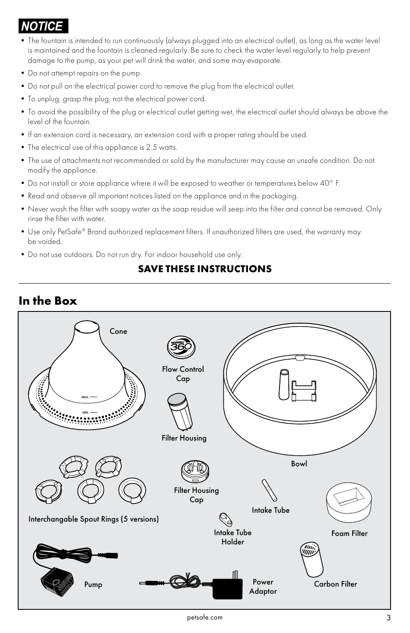# *NOTICE*

- •The fountain is intended to run continuously (always plugged into an electrical outlet), as long as the water level is maintained and the fountain is cleaned regularly. Be sure to check the water level regularly to help prevent damage to the pump, as your pet will drink the water, and some may evaporate.
- •Do not attempt repairs on the pump.
- •Do not pull on the electrical power cord to remove the plug from the electrical outlet.
- •To unplug, grasp the plug, not the electrical power cord.
- •To avoid the possibility of the plug or electrical outlet getting wet, the electrical outlet should always be above the level of the fountain.
- •If an extension cord is necessary, an extension cord with a proper rating should be used.
- •The electrical use of this appliance is 2.5 watts.
- •The use of attachments not recommended or sold by the manufacturer may cause an unsafe condition. Do not modify the appliance.
- •Do not install or store appliance where it will be exposed to weather or temperatures below 40° F.
- •Read and observe all important notices listed on the appliance and in the packaging.
- •Never wash the filter with soapy water as the soap residue will seep into the filter and cannot be removed. Only rinse the filter with water.
- •Use only PetSafe® Brand authorized replacement filters. If unauthorized filters are used, the warranty may be voided.
- •Do not use outdoors. Do not run dry. For indoor household use only.

#### **SAVE THESE INSTRUCTIONS**

# Power Pump <del>COD MINICALLY MINIC</del> Bowl Filter Housing Intake Tube Flow Control **Cap** Intake Tube Holder Cone Carbon Filter Filter Housing Cap Interchangable Spout Rings (5 versions) Foam Filter

### **In the Box**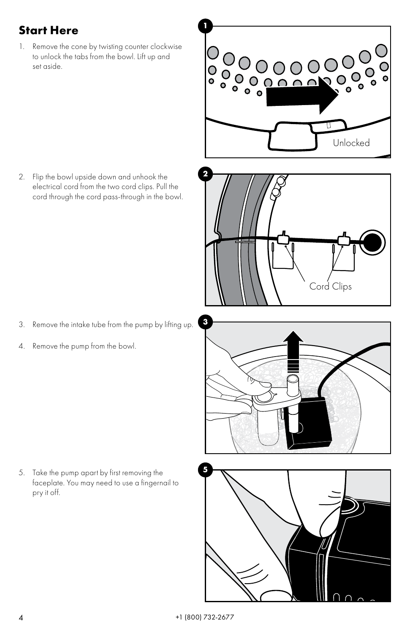### **<sup>1</sup> Start Here**

1. Remove the cone by twisting counter clockwise to unlock the tabs from the bowl. Lift up and set aside.



**2** 2. Flip the bowl upside down and unhook the electrical cord from the two cord clips. Pull the cord through the cord pass-through in the bowl.

- **3** 3. Remove the intake tube from the pump by lifting up.
- 4. Remove the pump from the bowl.



Cord Clips

**5** 5. Take the pump apart by first removing the faceplate. You may need to use a fingernail to pry it off.

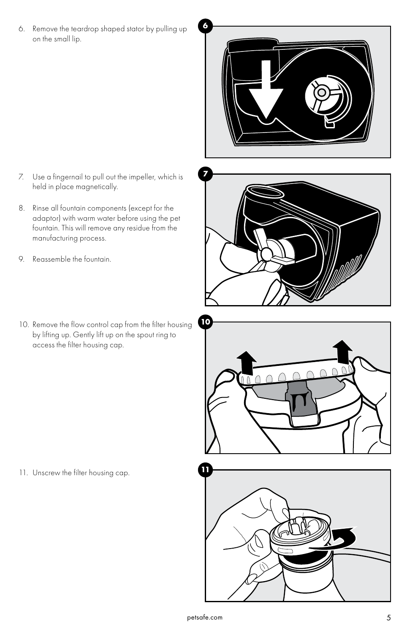**6** 6. Remove the teardrop shaped stator by pulling up on the small lip.



- **7** 7. Use a fingernail to pull out the impeller, which is held in place magnetically.
- 8. Rinse all fountain components (except for the adaptor) with warm water before using the pet fountain. This will remove any residue from the manufacturing process.
- 9. Reassemble the fountain.
- **10** 10. Remove the flow control cap from the filter housing by lifting up. Gently lift up on the spout ring to access the filter housing cap.



11. Unscrew the filter housing cap.

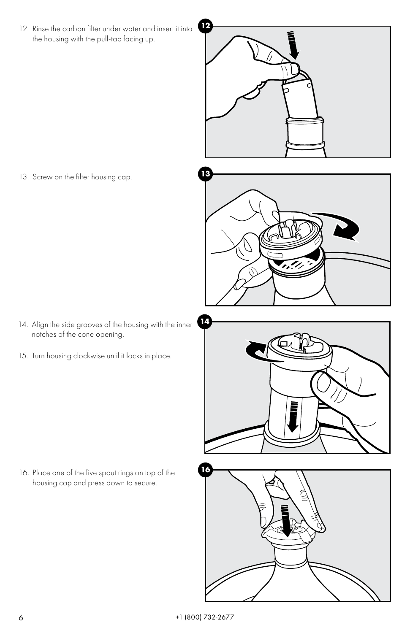**12** 12. Rinse the carbon filter under water and insert it into the housing with the pull-tab facing up.



13. Screw on the filter housing cap.

- **14** 14. Align the side grooves of the housing with the inner notches of the cone opening.
- 15. Turn housing clockwise until it locks in place.



**16** 16. Place one of the five spout rings on top of the housing cap and press down to secure.

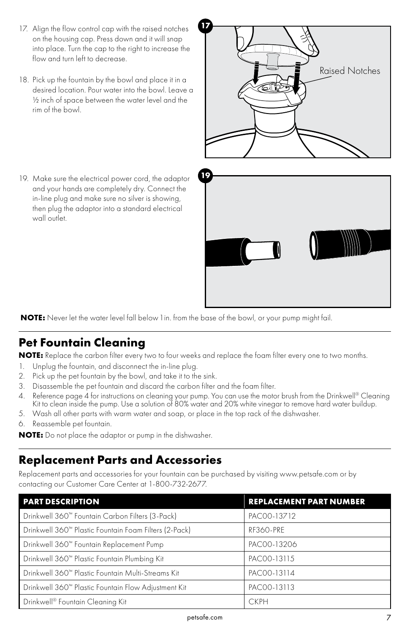- 17. Align the flow control cap with the raised notches on the housing cap. Press down and it will snap into place. Turn the cap to the right to increase the flow and turn left to decrease.
- 18. Pick up the fountain by the bowl and place it in a desired location. Pour water into the bowl. Leave a ½ inch of space between the water level and the rim of the bowl.

**19** 19. Make sure the electrical power cord, the adaptor and your hands are completely dry. Connect the in-line plug and make sure no silver is showing, then plug the adaptor into a standard electrical



 **NOTE:** Never let the water level fall below 1 in. from the base of the bowl, or your pump might fail.

#### **Pet Fountain Cleaning**

**NOTE:** Replace the carbon filter every two to four weeks and replace the foam filter every one to two months.

- 1. Unplug the fountain, and disconnect the in-line plug.
- 2. Pick up the pet fountain by the bowl, and take it to the sink.
- 3. Disassemble the pet fountain and discard the carbon filter and the foam filter.
- 4. Reference page 4 for instructions on cleaning your pump. You can use the motor brush from the Drinkwell® Cleaning Kit to clean inside the pump. Use a solution of 80% water and 20% white vinegar to remove hard water buildup.
- 5. Wash all other parts with warm water and soap, or place in the top rack of the dishwasher.
- 6. Reassemble pet fountain.

wall outlet.

**NOTE:** Do not place the adaptor or pump in the dishwasher.

#### **Replacement Parts and Accessories**

Replacement parts and accessories for your fountain can be purchased by visiting www.petsafe.com or by contacting our Customer Care Center at 1-800-732-2677.

| <b>PART DESCRIPTION</b>                                     | <b>REPLACEMENT PART NUMBER</b> |
|-------------------------------------------------------------|--------------------------------|
| Drinkwell 360 <sup>™</sup> Fountain Carbon Filters (3-Pack) | PACOO-13712                    |
| Drinkwell 360™ Plastic Fountain Foam Filters (2-Pack)       | RF360-PRE                      |
| Drinkwell 360™ Fountain Replacement Pump                    | PAC00-13206                    |
| Drinkwell 360 <sup>™</sup> Plastic Fountain Plumbing Kit    | PAC00-13115                    |
| Drinkwell 360™ Plastic Fountain Multi-Streams Kit           | PAC00-13114                    |
| Drinkwell 360™ Plastic Fountain Flow Adjustment Kit         | PAC00-13113                    |
| Drinkwell <sup>®</sup> Fountain Cleaning Kit                | <b>CKPH</b>                    |